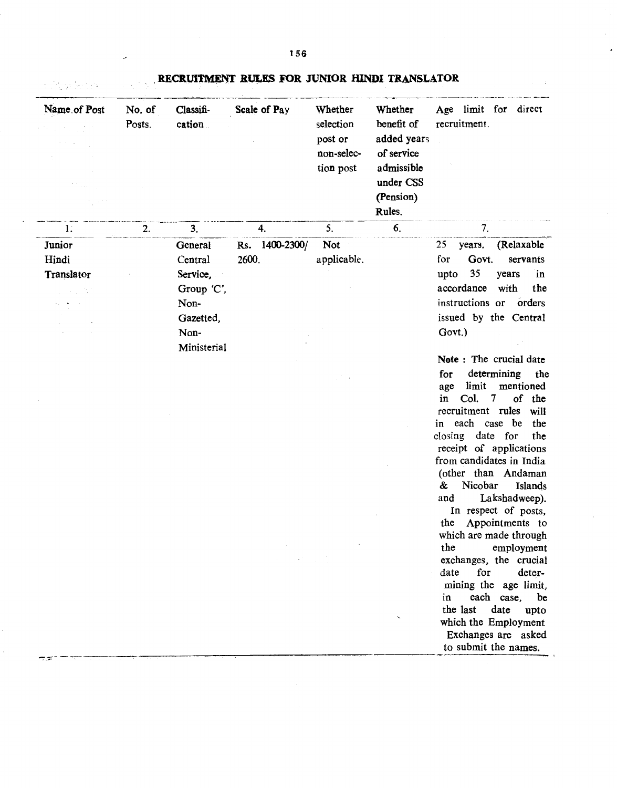RECRUITMENT RULES FOR JUNIOR HINDI TRANSLATOR

| Name of Post        | No. of<br>Posts. | Classifi-<br>cation | Scale of Pay            | Whether<br>selection<br>post or<br>non-selec-<br>tion post | Whether<br>benefit of<br>added years<br>of service<br>admissible<br>under CSS<br>(Pension)<br>Rules. | Age limit for direct<br>recruitment.                                                                                                                                                                                                     |
|---------------------|------------------|---------------------|-------------------------|------------------------------------------------------------|------------------------------------------------------------------------------------------------------|------------------------------------------------------------------------------------------------------------------------------------------------------------------------------------------------------------------------------------------|
| 1.                  | 2.               | 3.                  | 4.                      | 5.                                                         | 6.                                                                                                   | 7.                                                                                                                                                                                                                                       |
| Junior              |                  | <b>General</b>      | Rs. 1400-2300/<br>2600. | Not                                                        |                                                                                                      | (Relaxable<br>25<br>years.<br>for<br>Govt.                                                                                                                                                                                               |
| Hindi<br>Translator |                  | Central<br>Service, |                         | applicable.                                                |                                                                                                      | servants<br>35<br>upto<br>years<br>in                                                                                                                                                                                                    |
|                     |                  | Group 'C',          |                         |                                                            |                                                                                                      | accordance<br>with<br>the                                                                                                                                                                                                                |
|                     |                  | Non-                |                         |                                                            |                                                                                                      | instructions or<br>orders                                                                                                                                                                                                                |
|                     |                  | Gazetted,           |                         |                                                            |                                                                                                      | issued by the Central                                                                                                                                                                                                                    |
|                     |                  | Non-                |                         |                                                            |                                                                                                      | Govt.)                                                                                                                                                                                                                                   |
|                     |                  | Ministerial         |                         |                                                            |                                                                                                      |                                                                                                                                                                                                                                          |
|                     |                  |                     |                         |                                                            |                                                                                                      | Note: The crucial date                                                                                                                                                                                                                   |
|                     |                  |                     |                         |                                                            |                                                                                                      | determining<br>for<br>the<br>limit<br>mentioned<br>age<br>Col.<br>7<br>of<br>the<br>in<br>recruitment rules<br>will<br>each case<br>be<br>the<br>in<br>date for<br>closing<br>the<br>receipt of applications<br>from candidates in India |
|                     |                  |                     |                         |                                                            |                                                                                                      | (other than Andaman<br>Nicobar<br>&<br>Islands<br>Lakshadweep).<br>and<br>In respect of posts,<br>Appointments to<br>the<br>which are made through<br>the<br>employment                                                                  |
|                     |                  |                     |                         |                                                            |                                                                                                      | exchanges, the crucial<br>for<br>date<br>deter-<br>mining the age limit,<br>each case,<br>in<br>be<br>date<br>the last<br>upto<br>which the Employment<br>Exchanges are asked<br>to submit the names.                                    |

 $\label{eq:3} \frac{1}{2}\int_{0}^{2\pi} \frac{d\mu}{d\mu} \left\langle \frac{\partial \mu}{\partial \nu} \right\rangle \frac{d\mu}{d\mu} \left\langle \frac{\partial \mu}{\partial \nu} \right\rangle \frac{d\mu}{d\mu} \frac{d\mu}{d\mu} \frac{d\mu}{d\mu} \frac{d\mu}{d\mu} \frac{d\mu}{d\mu} \frac{d\mu}{d\mu} \frac{d\mu}{d\mu} \frac{d\mu}{d\mu} \frac{d\mu}{d\mu} \frac{d\mu}{d\mu} \frac{d\mu}{d\mu} \frac{d\mu}{d\mu} \frac{$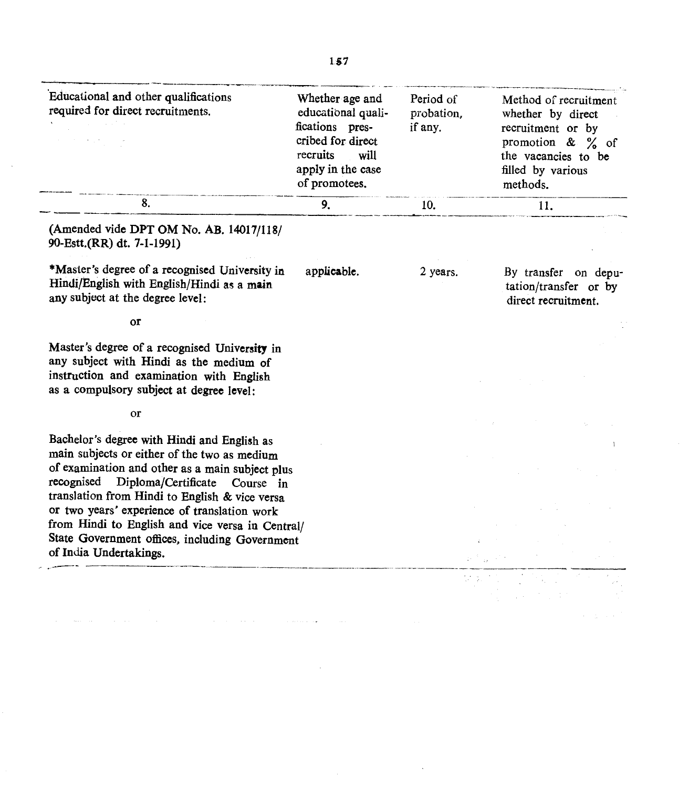| Educational and other qualifications<br>required for direct recruitments.                                                                                                                                                      | Whether age and<br>educational quali-<br>fications pres-<br>cribed for direct<br>recruits<br>will<br>apply in the case<br>of promotees. | Period of<br>probation,<br>if any. | Method of recruitment<br>whether by direct<br>recruitment or by<br>promotion $\& \quad \frac{\ }{6}$ of<br>the vacancies to be<br>filled by various<br>methods. |
|--------------------------------------------------------------------------------------------------------------------------------------------------------------------------------------------------------------------------------|-----------------------------------------------------------------------------------------------------------------------------------------|------------------------------------|-----------------------------------------------------------------------------------------------------------------------------------------------------------------|
| 8.                                                                                                                                                                                                                             | 9.                                                                                                                                      | 10.                                | 11.                                                                                                                                                             |
| (Amended vide DPT OM No. AB. 14017/118/<br>90-Estt.(RR) dt. 7-1-1991)                                                                                                                                                          |                                                                                                                                         |                                    |                                                                                                                                                                 |
| *Master's degree of a recognised University in<br>Hindi/English with English/Hindi as a main<br>any subject at the degree level:                                                                                               | applicable.                                                                                                                             | 2 years.                           | By transfer on depu-<br>tation/transfer or by<br>direct recruitment.                                                                                            |
| or                                                                                                                                                                                                                             |                                                                                                                                         |                                    |                                                                                                                                                                 |
| Master's degree of a recognised University in<br>any subject with Hindi as the medium of<br>instruction and examination with English<br>as a compulsory subject at degree level:                                               |                                                                                                                                         |                                    |                                                                                                                                                                 |
| or                                                                                                                                                                                                                             |                                                                                                                                         |                                    |                                                                                                                                                                 |
| Bachelor's degree with Hindi and English as<br>main subjects or either of the two as medium<br>of examination and other as a main subject plus<br>recognised Diploma/Certificate Course in                                     |                                                                                                                                         |                                    |                                                                                                                                                                 |
| translation from Hindi to English & vice versa<br>or two years' experience of translation work<br>from Hindi to English and vice versa in Central/<br>State Government offices, including Government<br>of India Undertakings. |                                                                                                                                         |                                    |                                                                                                                                                                 |
|                                                                                                                                                                                                                                |                                                                                                                                         |                                    |                                                                                                                                                                 |
|                                                                                                                                                                                                                                |                                                                                                                                         |                                    |                                                                                                                                                                 |

 $\mathcal{L}^{\text{max}}_{\text{max}}$  and  $\mathcal{L}^{\text{max}}_{\text{max}}$ 

 $\sim$ 

 $\sim$   $\sim$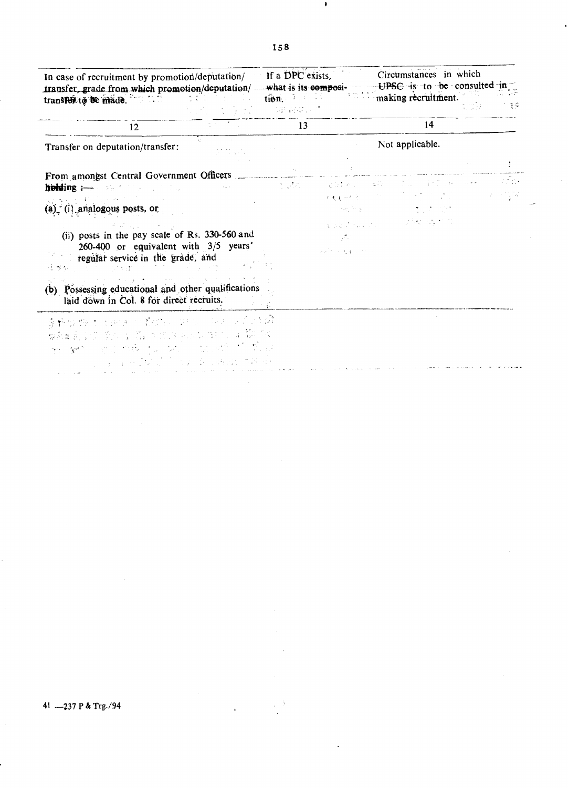Circumstances in which If a DPC exists, In case of recruitment by promotion/deputation/ transfer, grade from which promotion/deputation/ - what is its composi- UPSC is to be consulted in making recruitment. transfeit to be made. tion. I have the  $\sim 1$  $\overline{\mathcal{A}}$  in<br>Eq. (  $\frac{1}{2}$   $\frac{1}{2}$ 13 14 12 Not applicable. Transfer on deputation/transfer: ekanjiyan From amongst Central Government Officers Ēц s ath الجسدان ووارداع والدار **VING** 825 holding :- She for a state of the  $r\in\mathbb{R}^{n\times N\times N}$  $1.14\times10^5$  $\tau = 1/\sqrt{2}$ (a) (i) analogous posts, or an ing a nje y Personal Prima post number (ii) posts in the pay scale of Rs. 330-560 and  $\mathcal{J}_i$ 260-400 or equivalent with  $3/5$  years'  $\gamma$  , and  $\gamma$  , and regular service in the grade, and  $\mathcal{L}^2$  ,  $\mathcal{L}^2$  , 동물론 -151 (b) Possessing educational and other qualifications laid down in Col. 8 for direct recruits. 누가 金額の数は 加速 计转换器 吹起 同年 - 175  $\frac{1}{2} \frac{d^2}{d^2}$ 最新的な あいおう かいきんかい  $\label{eq:2} \mathcal{L} = \mathcal{L} \left( \frac{\partial \mathcal{L}^{\mathcal{L}}}{\partial \mathcal{L}^{\mathcal{L}}_{\mathcal{L}}} \right) \mathcal{L}^{\mathcal{L}}_{\mathcal{L}} \left( \frac{\partial \mathcal{L}^{\mathcal{L}}}{\partial \mathcal{L}^{\mathcal{L}}_{\mathcal{L}}} \right) \mathcal{L}^{\mathcal{L}}_{\mathcal{L}} \left( \frac{\partial \mathcal{L}^{\mathcal{L}}}{\partial \mathcal{L}^{\mathcal{L}}_{\mathcal{L}}} \right) \mathcal{L}^{\mathcal{L}}_{\mathcal{L}} \left$  $\mathbb{R}^{n}$  and  $\omega_{\rm{eff}}=2\omega e^{\lambda_{\rm{eff}}}$ (图10) 机轴 מקום לא היה היה המונים במונים בין היה היה בין היה היה בין היה בין היה בין היה בין היה בין היה בין היה בין היה <br>את היא לא לא היה בין היה בין היה בין היה בין היה בין היה בין היה בין היה בין היה בין היה בין היה בין היה בין ה

41 -237 P & Trg./94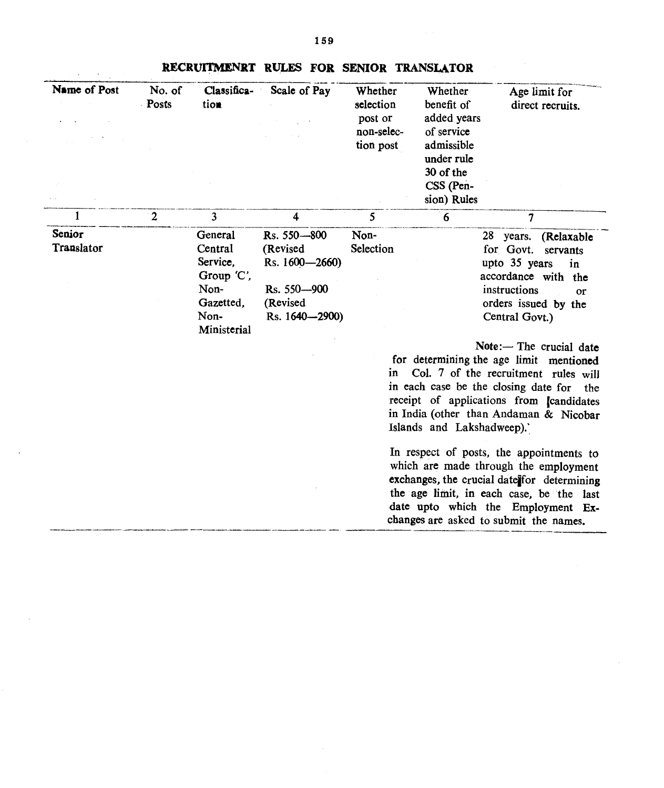| Name of Post         | No. of<br>Posts | Classifica-<br>tion                                                                      | Scale of Pay                                                                           | Whether<br>selection<br>post or<br>non-selec-<br>tion post | Whether<br>benefit of<br>added years<br>of service<br>admissible<br>under rule<br>30 of the<br>CSS (Pen-<br>sion) Rules | Age limit for<br>direct recruits.                                                                                                                                                                                                                                                                                                                                                                                                                                                                                                                                                                                                                                                |
|----------------------|-----------------|------------------------------------------------------------------------------------------|----------------------------------------------------------------------------------------|------------------------------------------------------------|-------------------------------------------------------------------------------------------------------------------------|----------------------------------------------------------------------------------------------------------------------------------------------------------------------------------------------------------------------------------------------------------------------------------------------------------------------------------------------------------------------------------------------------------------------------------------------------------------------------------------------------------------------------------------------------------------------------------------------------------------------------------------------------------------------------------|
|                      | $\overline{2}$  | 3                                                                                        | $\overline{\mathbf{4}}$                                                                | 5                                                          | 6                                                                                                                       | 7                                                                                                                                                                                                                                                                                                                                                                                                                                                                                                                                                                                                                                                                                |
| Senior<br>Translator |                 | General<br>Central<br>Service,<br>Group 'C',<br>Non-<br>Gazetted.<br>Non-<br>Ministerial | Rs. 550-800<br>(Revised<br>Rs. 1600-2660)<br>Rs. 550-900<br>(Revised<br>Rs. 1640-2900) | Non-<br>Selection<br>in                                    | Islands and Lakshadweep).'                                                                                              | 28 years.<br>(Relaxable<br>for Govt.<br>servants<br>upto 35 years<br>in<br>accordance with the<br>instructions<br>or<br>orders issued by the<br>Central Govt.)<br>Note:- The crucial date<br>for determining the age limit mentioned<br>Col. 7 of the recruitment rules will<br>in each case be the closing date for<br>the<br>receipt of applications from candidates<br>in India (other than Andaman & Nicobar<br>In respect of posts, the appointments to<br>which are made through the employment<br>exchanges, the crucial date for determining<br>the age limit, in each case, be the last<br>date upto which the Employment Ex-<br>changes are asked to submit the names. |

## RECRUITMENRT RULES FOR SENIOR TRANSLATOR

 $\mathcal{A}^{\mathcal{A}}$  and  $\mathcal{A}^{\mathcal{A}}$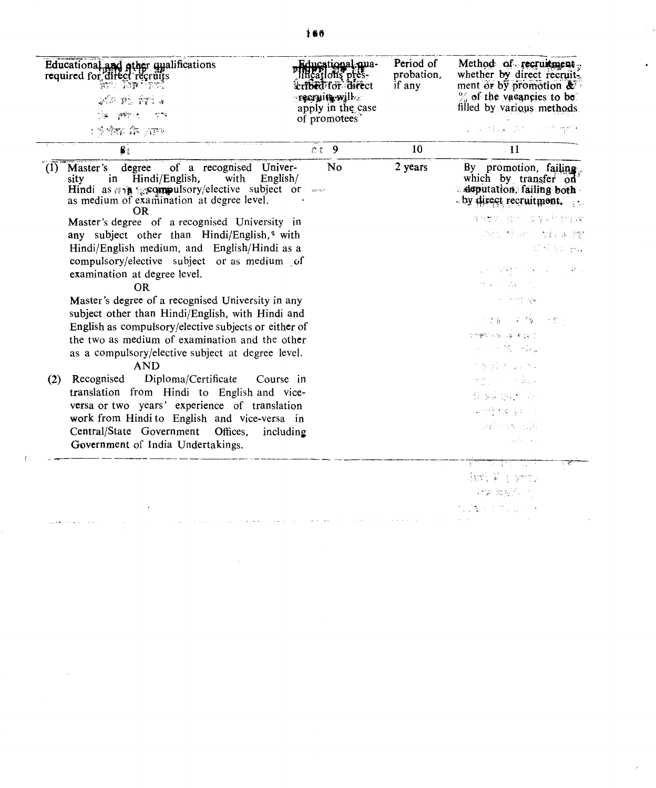|             | Educational and other qualifications<br>required for direct recruits<br>astic land termi<br>रे निर्म को क्रिकेट<br>De referenciers<br>र मैं पहले देखें हैं ।<br>प्राचार के अपने देखें हैं ।                                                                                                                                                                                                                                                                                                                                                                                                                                                                                                          | Educational.cua-<br>lificațions pres-<br>erfbed for direct<br><b>-recruit will</b><br>apply in the case<br>of promotees | Period of<br>probation,<br>if any | Method of recruitment.<br>whether by direct recruit.<br>ment or by promotion &<br>$\%$ of the vacancies to be.<br>filled by various methods<br>109 年49 1872 1777 首都                                                                                                                                                                                                                                                                                                                                                                                         |
|-------------|------------------------------------------------------------------------------------------------------------------------------------------------------------------------------------------------------------------------------------------------------------------------------------------------------------------------------------------------------------------------------------------------------------------------------------------------------------------------------------------------------------------------------------------------------------------------------------------------------------------------------------------------------------------------------------------------------|-------------------------------------------------------------------------------------------------------------------------|-----------------------------------|-------------------------------------------------------------------------------------------------------------------------------------------------------------------------------------------------------------------------------------------------------------------------------------------------------------------------------------------------------------------------------------------------------------------------------------------------------------------------------------------------------------------------------------------------------------|
|             |                                                                                                                                                                                                                                                                                                                                                                                                                                                                                                                                                                                                                                                                                                      | 9<br>色色                                                                                                                 | 10                                | $\overline{11}$                                                                                                                                                                                                                                                                                                                                                                                                                                                                                                                                             |
| (1)<br>sity | of a recognised Univer-<br>degree<br>Master's<br>Hindi/English,<br>with<br>English/<br>in<br>Hindi as $\pi \cdot \mathbf{R}$ specimulation at degree level.<br>OR.<br>Master's degree of a recognised University in<br>any subject other than Hindi/English,* with<br>Hindi/English medium, and English/Hindi as a<br>compulsory/elective subject or as medium of<br>examination at degree level.<br><b>OR</b><br>Master's degree of a recognised University in any<br>subject other than Hindi/English, with Hindi and<br>English as compulsory/elective subjects or either of<br>the two as medium of examination and the other<br>as a compulsory/elective subject at degree level.<br><b>AND</b> | No                                                                                                                      | 2 years                           | By promotion, failing<br>which by transfer on<br>deputation, failing both<br>by direct recruitment.<br>生体整流 建物 人名库克尔 的复数<br>回忆 医动脉 的复数 鲤<br>加州海北海岸<br>그리고 공원 전에 따라 가지고 있<br>97.<br>サメール森との<br>$\mathcal{V} \rightarrow \mathcal{V}$ . We<br>网络黑色 医毛鞭 医子宫区<br>there is a right<br>$\label{eq:3.1} \begin{split} \mathcal{D}_{\mathcal{A}}(\mathcal{A}) & = \mathcal{D}_{\mathcal{A}}(\mathcal{A}) \mathcal{D}_{\mathcal{A}}(\mathcal{A}) + \mathcal{D}_{\mathcal{A}}(\mathcal{A}) \mathcal{D}_{\mathcal{A}}(\mathcal{A}) \end{split}$<br>the street parts of |
| (2)         | Diploma/Certificate<br>Recognised<br>translation from Hindi to English and vice-<br>versa or two years' experience of translation<br>work from Hindi to English and vice-versa in<br>Central/State Government Offices,<br>Government of India Undertakings.                                                                                                                                                                                                                                                                                                                                                                                                                                          | Course in<br>including                                                                                                  |                                   | 本性 医心室 医麻痹<br>新加速(March)<br>中世 被导的<br>Safe manufaction<br>$\alpha_4$ of $\alpha_1$ , and<br>10 전 - 마을 가지 모르겠다                                                                                                                                                                                                                                                                                                                                                                                                                                               |
|             |                                                                                                                                                                                                                                                                                                                                                                                                                                                                                                                                                                                                                                                                                                      |                                                                                                                         |                                   | 血毛羊 引地的<br>लोक द्वार्थ है। ए<br><b>START STORES</b>                                                                                                                                                                                                                                                                                                                                                                                                                                                                                                         |

 $\sim 10^6$ 

 $\left\langle \cdot \right\rangle$ 

 $\sim$ 

 $\overline{a}$ 

 $\cdot$